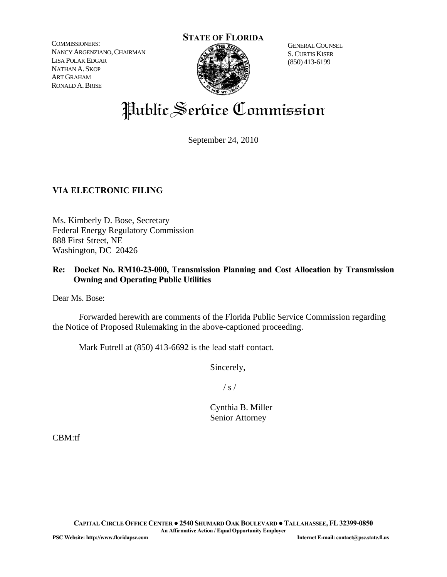COMMISSIONERS: NANCY ARGENZIANO, CHAIRMAN LISA POLAK EDGAR NATHAN A. SKOP ART GRAHAM RONALD A.BRISE



 S.CURTIS KISER (850) 413-6199

# Public Service Commission

September 24, 2010

# **VIA ELECTRONIC FILING**

Ms. Kimberly D. Bose, Secretary Federal Energy Regulatory Commission 888 First Street, NE Washington, DC 20426

# **Re: Docket No. RM10-23-000, Transmission Planning and Cost Allocation by Transmission Owning and Operating Public Utilities**

Dear Ms. Bose:

 Forwarded herewith are comments of the Florida Public Service Commission regarding the Notice of Proposed Rulemaking in the above-captioned proceeding.

Mark Futrell at (850) 413-6692 is the lead staff contact.

Sincerely,

 $\frac{1}{s}$  /

 Cynthia B. Miller Senior Attorney

CBM:tf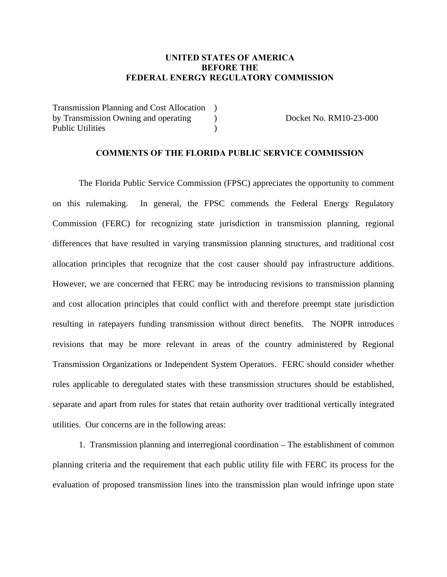# **UNITED STATES OF AMERICA BEFORE THE FEDERAL ENERGY REGULATORY COMMISSION**

Transmission Planning and Cost Allocation ) by Transmission Owning and operating Public Utilities

Docket No. RM10-23-000

#### **COMMENTS OF THE FLORIDA PUBLIC SERVICE COMMISSION**

 $\mathcal{L}$ )

 The Florida Public Service Commission (FPSC) appreciates the opportunity to comment on this rulemaking. In general, the FPSC commends the Federal Energy Regulatory Commission (FERC) for recognizing state jurisdiction in transmission planning, regional differences that have resulted in varying transmission planning structures, and traditional cost allocation principles that recognize that the cost causer should pay infrastructure additions. However, we are concerned that FERC may be introducing revisions to transmission planning and cost allocation principles that could conflict with and therefore preempt state jurisdiction resulting in ratepayers funding transmission without direct benefits. The NOPR introduces revisions that may be more relevant in areas of the country administered by Regional Transmission Organizations or Independent System Operators. FERC should consider whether rules applicable to deregulated states with these transmission structures should be established, separate and apart from rules for states that retain authority over traditional vertically integrated utilities. Our concerns are in the following areas:

 1. Transmission planning and interregional coordination – The establishment of common planning criteria and the requirement that each public utility file with FERC its process for the evaluation of proposed transmission lines into the transmission plan would infringe upon state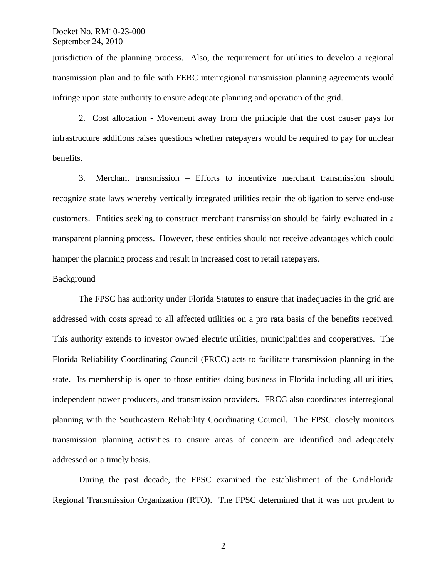jurisdiction of the planning process. Also, the requirement for utilities to develop a regional transmission plan and to file with FERC interregional transmission planning agreements would infringe upon state authority to ensure adequate planning and operation of the grid.

 2. Cost allocation - Movement away from the principle that the cost causer pays for infrastructure additions raises questions whether ratepayers would be required to pay for unclear benefits.

 3. Merchant transmission – Efforts to incentivize merchant transmission should recognize state laws whereby vertically integrated utilities retain the obligation to serve end-use customers. Entities seeking to construct merchant transmission should be fairly evaluated in a transparent planning process. However, these entities should not receive advantages which could hamper the planning process and result in increased cost to retail ratepayers.

#### Background

The FPSC has authority under Florida Statutes to ensure that inadequacies in the grid are addressed with costs spread to all affected utilities on a pro rata basis of the benefits received. This authority extends to investor owned electric utilities, municipalities and cooperatives. The Florida Reliability Coordinating Council (FRCC) acts to facilitate transmission planning in the state. Its membership is open to those entities doing business in Florida including all utilities, independent power producers, and transmission providers. FRCC also coordinates interregional planning with the Southeastern Reliability Coordinating Council. The FPSC closely monitors transmission planning activities to ensure areas of concern are identified and adequately addressed on a timely basis.

 During the past decade, the FPSC examined the establishment of the GridFlorida Regional Transmission Organization (RTO). The FPSC determined that it was not prudent to

2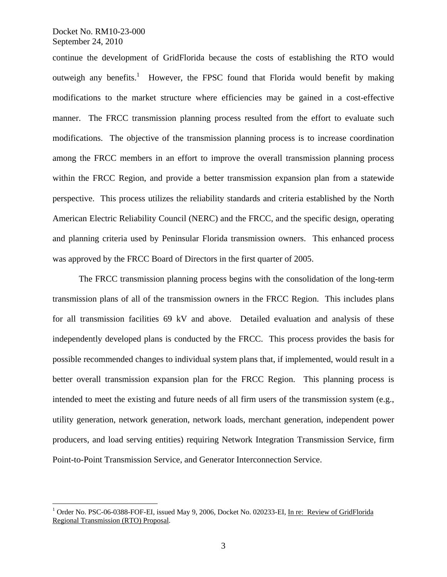$\overline{a}$ 

continue the development of GridFlorida because the costs of establishing the RTO would outweigh any benefits.<sup>1</sup> However, the FPSC found that Florida would benefit by making modifications to the market structure where efficiencies may be gained in a cost-effective manner. The FRCC transmission planning process resulted from the effort to evaluate such modifications. The objective of the transmission planning process is to increase coordination among the FRCC members in an effort to improve the overall transmission planning process within the FRCC Region, and provide a better transmission expansion plan from a statewide perspective. This process utilizes the reliability standards and criteria established by the North American Electric Reliability Council (NERC) and the FRCC, and the specific design, operating and planning criteria used by Peninsular Florida transmission owners. This enhanced process was approved by the FRCC Board of Directors in the first quarter of 2005.

 The FRCC transmission planning process begins with the consolidation of the long-term transmission plans of all of the transmission owners in the FRCC Region. This includes plans for all transmission facilities 69 kV and above. Detailed evaluation and analysis of these independently developed plans is conducted by the FRCC. This process provides the basis for possible recommended changes to individual system plans that, if implemented, would result in a better overall transmission expansion plan for the FRCC Region. This planning process is intended to meet the existing and future needs of all firm users of the transmission system (e.g., utility generation, network generation, network loads, merchant generation, independent power producers, and load serving entities) requiring Network Integration Transmission Service, firm Point-to-Point Transmission Service, and Generator Interconnection Service.

<sup>&</sup>lt;sup>1</sup> Order No. PSC-06-0388-FOF-EI, issued May 9, 2006, Docket No. 020233-EI, In re: Review of GridFlorida Regional Transmission (RTO) Proposal.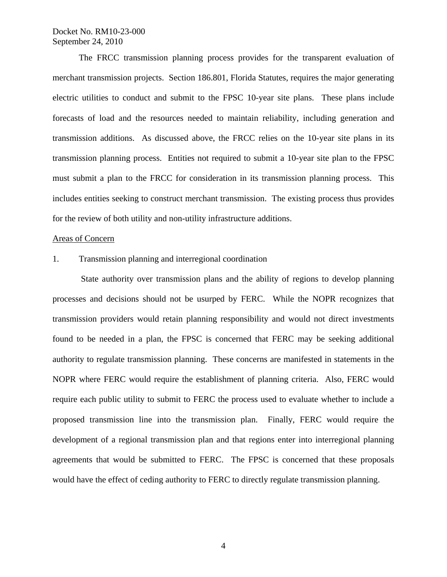The FRCC transmission planning process provides for the transparent evaluation of merchant transmission projects. Section 186.801, Florida Statutes, requires the major generating electric utilities to conduct and submit to the FPSC 10-year site plans. These plans include forecasts of load and the resources needed to maintain reliability, including generation and transmission additions. As discussed above, the FRCC relies on the 10-year site plans in its transmission planning process. Entities not required to submit a 10-year site plan to the FPSC must submit a plan to the FRCC for consideration in its transmission planning process. This includes entities seeking to construct merchant transmission. The existing process thus provides for the review of both utility and non-utility infrastructure additions.

#### Areas of Concern

#### 1. Transmission planning and interregional coordination

 State authority over transmission plans and the ability of regions to develop planning processes and decisions should not be usurped by FERC. While the NOPR recognizes that transmission providers would retain planning responsibility and would not direct investments found to be needed in a plan, the FPSC is concerned that FERC may be seeking additional authority to regulate transmission planning. These concerns are manifested in statements in the NOPR where FERC would require the establishment of planning criteria. Also, FERC would require each public utility to submit to FERC the process used to evaluate whether to include a proposed transmission line into the transmission plan. Finally, FERC would require the development of a regional transmission plan and that regions enter into interregional planning agreements that would be submitted to FERC. The FPSC is concerned that these proposals would have the effect of ceding authority to FERC to directly regulate transmission planning.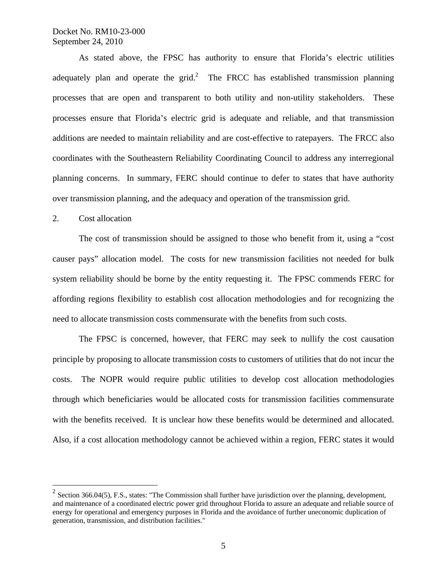As stated above, the FPSC has authority to ensure that Florida's electric utilities adequately plan and operate the grid.<sup>2</sup> The FRCC has established transmission planning processes that are open and transparent to both utility and non-utility stakeholders. These processes ensure that Florida's electric grid is adequate and reliable, and that transmission additions are needed to maintain reliability and are cost-effective to ratepayers. The FRCC also coordinates with the Southeastern Reliability Coordinating Council to address any interregional planning concerns. In summary, FERC should continue to defer to states that have authority over transmission planning, and the adequacy and operation of the transmission grid.

#### 2. Cost allocation

 $\overline{a}$ 

 The cost of transmission should be assigned to those who benefit from it, using a "cost causer pays" allocation model. The costs for new transmission facilities not needed for bulk system reliability should be borne by the entity requesting it. The FPSC commends FERC for affording regions flexibility to establish cost allocation methodologies and for recognizing the need to allocate transmission costs commensurate with the benefits from such costs.

 The FPSC is concerned, however, that FERC may seek to nullify the cost causation principle by proposing to allocate transmission costs to customers of utilities that do not incur the costs. The NOPR would require public utilities to develop cost allocation methodologies through which beneficiaries would be allocated costs for transmission facilities commensurate with the benefits received. It is unclear how these benefits would be determined and allocated. Also, if a cost allocation methodology cannot be achieved within a region, FERC states it would

 $2$  Section 366.04(5), F.S., states: "The Commission shall further have jurisdiction over the planning, development, and maintenance of a coordinated electric power grid throughout Florida to assure an adequate and reliable source of energy for operational and emergency purposes in Florida and the avoidance of further uneconomic duplication of generation, transmission, and distribution facilities."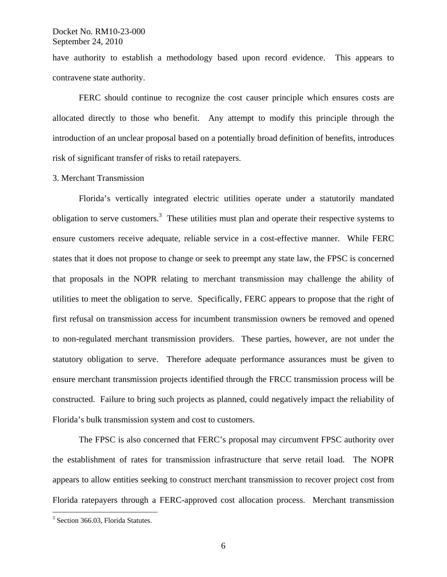have authority to establish a methodology based upon record evidence. This appears to contravene state authority.

 FERC should continue to recognize the cost causer principle which ensures costs are allocated directly to those who benefit. Any attempt to modify this principle through the introduction of an unclear proposal based on a potentially broad definition of benefits, introduces risk of significant transfer of risks to retail ratepayers.

# 3. Merchant Transmission

 Florida's vertically integrated electric utilities operate under a statutorily mandated obligation to serve customers.<sup>3</sup> These utilities must plan and operate their respective systems to ensure customers receive adequate, reliable service in a cost-effective manner. While FERC states that it does not propose to change or seek to preempt any state law, the FPSC is concerned that proposals in the NOPR relating to merchant transmission may challenge the ability of utilities to meet the obligation to serve. Specifically, FERC appears to propose that the right of first refusal on transmission access for incumbent transmission owners be removed and opened to non-regulated merchant transmission providers. These parties, however, are not under the statutory obligation to serve. Therefore adequate performance assurances must be given to ensure merchant transmission projects identified through the FRCC transmission process will be constructed. Failure to bring such projects as planned, could negatively impact the reliability of Florida's bulk transmission system and cost to customers.

 The FPSC is also concerned that FERC's proposal may circumvent FPSC authority over the establishment of rates for transmission infrastructure that serve retail load. The NOPR appears to allow entities seeking to construct merchant transmission to recover project cost from Florida ratepayers through a FERC-approved cost allocation process. Merchant transmission

 $\overline{a}$ 

<sup>&</sup>lt;sup>3</sup> Section 366.03, Florida Statutes.